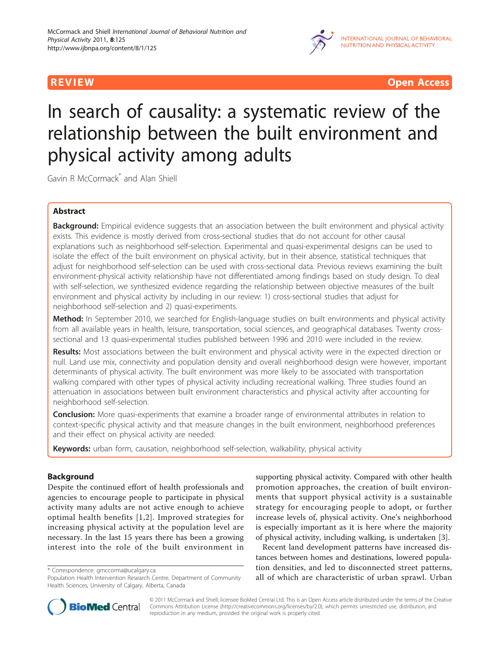

**REVIEW CONSIDERING CONSIDERING CONSIDERING CONSIDERING CONSIDERING CONSIDERING CONSIDERING CONSIDERING CONSIDERING CONSIDERING CONSIDERING CONSIDERING CONSIDERING CONSIDERING CONSIDERING CONSIDERING CONSIDERING CONSIDER** 

# In search of causality: a systematic review of the relationship between the built environment and physical activity among adults

Gavin R McCormack<sup>\*</sup> and Alan Shiell

# Abstract

**Background:** Empirical evidence suggests that an association between the built environment and physical activity exists. This evidence is mostly derived from cross-sectional studies that do not account for other causal explanations such as neighborhood self-selection. Experimental and quasi-experimental designs can be used to isolate the effect of the built environment on physical activity, but in their absence, statistical techniques that adjust for neighborhood self-selection can be used with cross-sectional data. Previous reviews examining the built environment-physical activity relationship have not differentiated among findings based on study design. To deal with self-selection, we synthesized evidence regarding the relationship between objective measures of the built environment and physical activity by including in our review: 1) cross-sectional studies that adjust for neighborhood self-selection and 2) quasi-experiments.

Method: In September 2010, we searched for English-language studies on built environments and physical activity from all available years in health, leisure, transportation, social sciences, and geographical databases. Twenty crosssectional and 13 quasi-experimental studies published between 1996 and 2010 were included in the review.

Results: Most associations between the built environment and physical activity were in the expected direction or null. Land use mix, connectivity and population density and overall neighborhood design were however, important determinants of physical activity. The built environment was more likely to be associated with transportation walking compared with other types of physical activity including recreational walking. Three studies found an attenuation in associations between built environment characteristics and physical activity after accounting for neighborhood self-selection.

Conclusion: More quasi-experiments that examine a broader range of environmental attributes in relation to context-specific physical activity and that measure changes in the built environment, neighborhood preferences and their effect on physical activity are needed.

Keywords: urban form, causation, neighborhood self-selection, walkability, physical activity

# Background

Despite the continued effort of health professionals and agencies to encourage people to participate in physical activity many adults are not active enough to achieve optimal health benefits [\[1,2](#page-9-0)]. Improved strategies for increasing physical activity at the population level are necessary. In the last 15 years there has been a growing interest into the role of the built environment in

\* Correspondence: [gmccorma@ucalgary.ca](mailto:gmccorma@ucalgary.ca)

supporting physical activity. Compared with other health promotion approaches, the creation of built environments that support physical activity is a sustainable strategy for encouraging people to adopt, or further increase levels of, physical activity. One's neighborhood is especially important as it is here where the majority of physical activity, including walking, is undertaken [[3\]](#page-9-0).

Recent land development patterns have increased distances between homes and destinations, lowered population densities, and led to disconnected street patterns, all of which are characteristic of urban sprawl. Urban



© 2011 McCormack and Shiell; licensee BioMed Central Ltd. This is an Open Access article distributed under the terms of the Creative Commons Attribution License [\(http://creativecommons.org/licenses/by/2.0](http://creativecommons.org/licenses/by/2.0)), which permits unrestricted use, distribution, and reproduction in any medium, provided the original work is properly cited.

Population Health Intervention Research Centre, Department of Community Health Sciences, University of Calgary, Alberta, Canada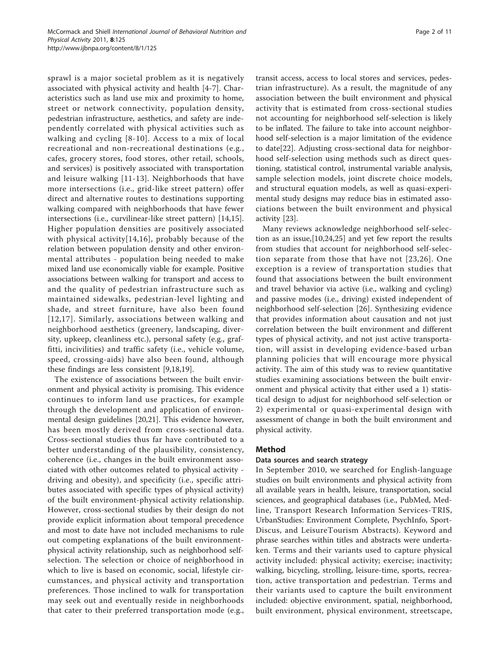sprawl is a major societal problem as it is negatively associated with physical activity and health [\[4](#page-9-0)-[7\]](#page-9-0). Characteristics such as land use mix and proximity to home, street or network connectivity, population density, pedestrian infrastructure, aesthetics, and safety are independently correlated with physical activities such as walking and cycling [[8-10\]](#page-9-0). Access to a mix of local recreational and non-recreational destinations (e.g., cafes, grocery stores, food stores, other retail, schools, and services) is positively associated with transportation and leisure walking [[11](#page-9-0)-[13](#page-9-0)]. Neighborhoods that have more intersections (i.e., grid-like street pattern) offer direct and alternative routes to destinations supporting walking compared with neighborhoods that have fewer intersections (i.e., curvilinear-like street pattern) [\[14,15](#page-9-0)]. Higher population densities are positively associated with physical activity[[14](#page-9-0),[16](#page-9-0)], probably because of the relation between population density and other environmental attributes - population being needed to make mixed land use economically viable for example. Positive associations between walking for transport and access to and the quality of pedestrian infrastructure such as maintained sidewalks, pedestrian-level lighting and shade, and street furniture, have also been found [[12,17\]](#page-9-0). Similarly, associations between walking and neighborhood aesthetics (greenery, landscaping, diversity, upkeep, cleanliness etc.), personal safety (e.g., graffitti, incivilities) and traffic safety (i.e., vehicle volume, speed, crossing-aids) have also been found, although these findings are less consistent [\[9,18,19\]](#page-9-0).

The existence of associations between the built environment and physical activity is promising. This evidence continues to inform land use practices, for example through the development and application of environmental design guidelines [\[20,21\]](#page-9-0). This evidence however, has been mostly derived from cross-sectional data. Cross-sectional studies thus far have contributed to a better understanding of the plausibility, consistency, coherence (i.e., changes in the built environment associated with other outcomes related to physical activity driving and obesity), and specificity (i.e., specific attributes associated with specific types of physical activity) of the built environment-physical activity relationship. However, cross-sectional studies by their design do not provide explicit information about temporal precedence and most to date have not included mechanisms to rule out competing explanations of the built environmentphysical activity relationship, such as neighborhood selfselection. The selection or choice of neighborhood in which to live is based on economic, social, lifestyle circumstances, and physical activity and transportation preferences. Those inclined to walk for transportation may seek out and eventually reside in neighborhoods that cater to their preferred transportation mode (e.g.,

transit access, access to local stores and services, pedestrian infrastructure). As a result, the magnitude of any association between the built environment and physical activity that is estimated from cross-sectional studies not accounting for neighborhood self-selection is likely to be inflated. The failure to take into account neighborhood self-selection is a major limitation of the evidence to date[[22\]](#page-9-0). Adjusting cross-sectional data for neighborhood self-selection using methods such as direct questioning, statistical control, instrumental variable analysis, sample selection models, joint discrete choice models, and structural equation models, as well as quasi-experimental study designs may reduce bias in estimated associations between the built environment and physical activity [\[23\]](#page-9-0).

Many reviews acknowledge neighborhood self-selection as an issue,[[10,24,25\]](#page-9-0) and yet few report the results from studies that account for neighborhood self-selection separate from those that have not [[23](#page-9-0),[26\]](#page-9-0). One exception is a review of transportation studies that found that associations between the built environment and travel behavior via active (i.e., walking and cycling) and passive modes (i.e., driving) existed independent of neighborhood self-selection [[26\]](#page-9-0). Synthesizing evidence that provides information about causation and not just correlation between the built environment and different types of physical activity, and not just active transportation, will assist in developing evidence-based urban planning policies that will encourage more physical activity. The aim of this study was to review quantitative studies examining associations between the built environment and physical activity that either used a 1) statistical design to adjust for neighborhood self-selection or 2) experimental or quasi-experimental design with assessment of change in both the built environment and physical activity.

# Method

### Data sources and search strategy

In September 2010, we searched for English-language studies on built environments and physical activity from all available years in health, leisure, transportation, social sciences, and geographical databases (i.e., PubMed, Medline, Transport Research Information Services-TRIS, UrbanStudies: Environment Complete, PsychInfo, Sport-Discus, and LeisureTourism Abstracts). Keyword and phrase searches within titles and abstracts were undertaken. Terms and their variants used to capture physical activity included: physical activity; exercise; inactivity; walking, bicycling, strolling, leisure-time, sports, recreation, active transportation and pedestrian. Terms and their variants used to capture the built environment included: objective environment, spatial, neighborhood, built environment, physical environment, streetscape,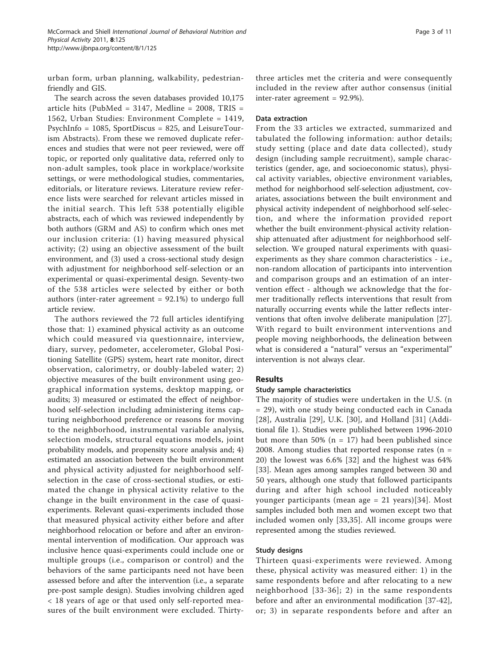urban form, urban planning, walkability, pedestrianfriendly and GIS.

The search across the seven databases provided 10,175 article hits (PubMed =  $3147$ , Medline = 2008, TRIS = 1562, Urban Studies: Environment Complete = 1419, PsychInfo = 1085, SportDiscus = 825, and LeisureTourism Abstracts). From these we removed duplicate references and studies that were not peer reviewed, were off topic, or reported only qualitative data, referred only to non-adult samples, took place in workplace/worksite settings, or were methodological studies, commentaries, editorials, or literature reviews. Literature review reference lists were searched for relevant articles missed in the initial search. This left 538 potentially eligible abstracts, each of which was reviewed independently by both authors (GRM and AS) to confirm which ones met our inclusion criteria: (1) having measured physical activity; (2) using an objective assessment of the built environment, and (3) used a cross-sectional study design with adjustment for neighborhood self-selection or an experimental or quasi-experimental design. Seventy-two of the 538 articles were selected by either or both authors (inter-rater agreement = 92.1%) to undergo full article review.

The authors reviewed the 72 full articles identifying those that: 1) examined physical activity as an outcome which could measured via questionnaire, interview, diary, survey, pedometer, accelerometer, Global Positioning Satellite (GPS) system, heart rate monitor, direct observation, calorimetry, or doubly-labeled water; 2) objective measures of the built environment using geographical information systems, desktop mapping, or audits; 3) measured or estimated the effect of neighborhood self-selection including administering items capturing neighborhood preference or reasons for moving to the neighborhood, instrumental variable analysis, selection models, structural equations models, joint probability models, and propensity score analysis and; 4) estimated an association between the built environment and physical activity adjusted for neighborhood selfselection in the case of cross-sectional studies, or estimated the change in physical activity relative to the change in the built environment in the case of quasiexperiments. Relevant quasi-experiments included those that measured physical activity either before and after neighborhood relocation or before and after an environmental intervention of modification. Our approach was inclusive hence quasi-experiments could include one or multiple groups (i.e., comparison or control) and the behaviors of the same participants need not have been assessed before and after the intervention (i.e., a separate pre-post sample design). Studies involving children aged < 18 years of age or that used only self-reported measures of the built environment were excluded. Thirty-

three articles met the criteria and were consequently included in the review after author consensus (initial inter-rater agreement = 92.9%).

#### Data extraction

From the 33 articles we extracted, summarized and tabulated the following information: author details; study setting (place and date data collected), study design (including sample recruitment), sample characteristics (gender, age, and socioeconomic status), physical activity variables, objective environment variables, method for neighborhood self-selection adjustment, covariates, associations between the built environment and physical activity independent of neighborhood self-selection, and where the information provided report whether the built environment-physical activity relationship attenuated after adjustment for neighborhood selfselection. We grouped natural experiments with quasiexperiments as they share common characteristics - i.e., non-random allocation of participants into intervention and comparison groups and an estimation of an intervention effect - although we acknowledge that the former traditionally reflects interventions that result from naturally occurring events while the latter reflects interventions that often involve deliberate manipulation [\[27](#page-9-0)]. With regard to built environment interventions and people moving neighborhoods, the delineation between what is considered a "natural" versus an "experimental" intervention is not always clear.

### Results

### Study sample characteristics

The majority of studies were undertaken in the U.S. (n = 29), with one study being conducted each in Canada [[28](#page-9-0)], Australia [[29\]](#page-9-0), U.K. [[30](#page-9-0)], and Holland [\[31\]](#page-9-0) (Additional file [1\)](#page-8-0). Studies were published between 1996-2010 but more than 50% ( $n = 17$ ) had been published since 2008. Among studies that reported response rates ( $n =$ 20) the lowest was 6.6% [[32](#page-9-0)] and the highest was 64% [[33\]](#page-9-0). Mean ages among samples ranged between 30 and 50 years, although one study that followed participants during and after high school included noticeably younger participants (mean age = 21 years)[[34](#page-9-0)]. Most samples included both men and women except two that included women only [[33,35\]](#page-9-0). All income groups were represented among the studies reviewed.

#### Study designs

Thirteen quasi-experiments were reviewed. Among these, physical activity was measured either: 1) in the same respondents before and after relocating to a new neighborhood [\[33](#page-9-0)-[36](#page-9-0)]; 2) in the same respondents before and after an environmental modification [[37-42](#page-9-0)], or; 3) in separate respondents before and after an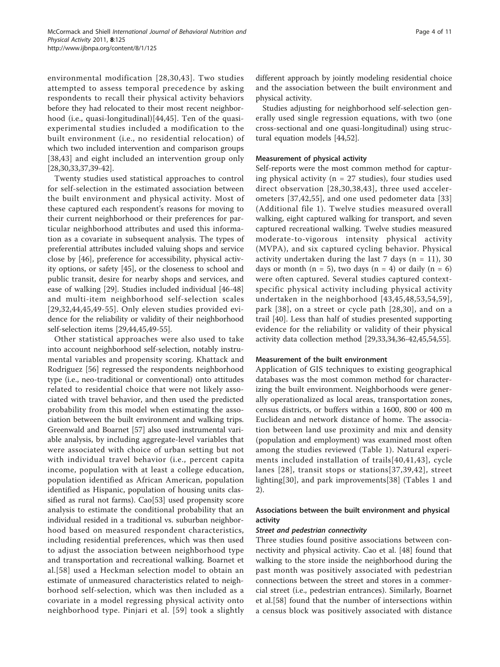environmental modification [[28,30](#page-9-0),[43](#page-9-0)]. Two studies attempted to assess temporal precedence by asking respondents to recall their physical activity behaviors before they had relocated to their most recent neighborhood (i.e., quasi-longitudinal)[[44,45](#page-10-0)]. Ten of the quasiexperimental studies included a modification to the built environment (i.e., no residential relocation) of which two included intervention and comparison groups [[38](#page-9-0),[43\]](#page-9-0) and eight included an intervention group only [[28,30,33](#page-9-0),[37,39](#page-9-0)-[42\]](#page-9-0).

Twenty studies used statistical approaches to control for self-selection in the estimated association between the built environment and physical activity. Most of these captured each respondent's reasons for moving to their current neighborhood or their preferences for particular neighborhood attributes and used this information as a covariate in subsequent analysis. The types of preferential attributes included valuing shops and service close by [[46\]](#page-10-0), preference for accessibility, physical activity options, or safety [\[45\]](#page-10-0), or the closeness to school and public transit, desire for nearby shops and services, and ease of walking [[29\]](#page-9-0). Studies included individual [[46-48](#page-10-0)] and multi-item neighborhood self-selection scales [[29](#page-9-0),[32](#page-9-0)[,44,45,49](#page-10-0)-[55](#page-10-0)]. Only eleven studies provided evidence for the reliability or validity of their neighborhood self-selection items [[29,](#page-9-0)[44,45,49](#page-10-0)-[55\]](#page-10-0).

Other statistical approaches were also used to take into account neighborhood self-selection, notably instrumental variables and propensity scoring. Khattack and Rodriguez [[56\]](#page-10-0) regressed the respondents neighborhood type (i.e., neo-traditional or conventional) onto attitudes related to residential choice that were not likely associated with travel behavior, and then used the predicted probability from this model when estimating the association between the built environment and walking trips. Greenwald and Boarnet [\[57\]](#page-10-0) also used instrumental variable analysis, by including aggregate-level variables that were associated with choice of urban setting but not with individual travel behavior (i.e., percent capita income, population with at least a college education, population identified as African American, population identified as Hispanic, population of housing units classified as rural not farms). Cao[\[53](#page-10-0)] used propensity score analysis to estimate the conditional probability that an individual resided in a traditional vs. suburban neighborhood based on measured respondent characteristics, including residential preferences, which was then used to adjust the association between neighborhood type and transportation and recreational walking. Boarnet et al.[[58\]](#page-10-0) used a Heckman selection model to obtain an estimate of unmeasured characteristics related to neighborhood self-selection, which was then included as a covariate in a model regressing physical activity onto neighborhood type. Pinjari et al. [[59\]](#page-10-0) took a slightly

different approach by jointly modeling residential choice and the association between the built environment and physical activity.

Studies adjusting for neighborhood self-selection generally used single regression equations, with two (one cross-sectional and one quasi-longitudinal) using structural equation models [\[44,52\]](#page-10-0).

#### Measurement of physical activity

Self-reports were the most common method for capturing physical activity ( $n = 27$  studies), four studies used direct observation [[28,30](#page-9-0),[38](#page-9-0),[43](#page-9-0)], three used accelerometers [[37,42](#page-9-0),[55\]](#page-10-0), and one used pedometer data [[33](#page-9-0)] (Additional file [1](#page-8-0)). Twelve studies measured overall walking, eight captured walking for transport, and seven captured recreational walking. Twelve studies measured moderate-to-vigorous intensity physical activity (MVPA), and six captured cycling behavior. Physical activity undertaken during the last 7 days ( $n = 11$ ), 30 days or month  $(n = 5)$ , two days  $(n = 4)$  or daily  $(n = 6)$ were often captured. Several studies captured contextspecific physical activity including physical activity undertaken in the neighborhood [[43,](#page-9-0)[45,48,53,54,59\]](#page-10-0), park [[38\]](#page-9-0), on a street or cycle path [[28](#page-9-0),[30](#page-9-0)], and on a trail [[40\]](#page-9-0). Less than half of studies presented supporting evidence for the reliability or validity of their physical activity data collection method [[29](#page-9-0),[33,34,36](#page-9-0)-[42](#page-9-0),[45,54,55](#page-10-0)].

#### Measurement of the built environment

Application of GIS techniques to existing geographical databases was the most common method for characterizing the built environment. Neighborhoods were generally operationalized as local areas, transportation zones, census districts, or buffers within a 1600, 800 or 400 m Euclidean and network distance of home. The association between land use proximity and mix and density (population and employment) was examined most often among the studies reviewed (Table [1\)](#page-4-0). Natural experiments included installation of trails[[40,41,43\]](#page-9-0), cycle lanes [[28](#page-9-0)], transit stops or stations[[37](#page-9-0),[39,42\]](#page-9-0), street lighting[[30](#page-9-0)], and park improvements[[38\]](#page-9-0) (Tables [1](#page-4-0) and [2\)](#page-5-0).

# Associations between the built environment and physical activity

#### Street and pedestrian connectivity

Three studies found positive associations between connectivity and physical activity. Cao et al. [[48\]](#page-10-0) found that walking to the store inside the neighborhood during the past month was positively associated with pedestrian connections between the street and stores in a commercial street (i.e., pedestrian entrances). Similarly, Boarnet et al.[\[58](#page-10-0)] found that the number of intersections within a census block was positively associated with distance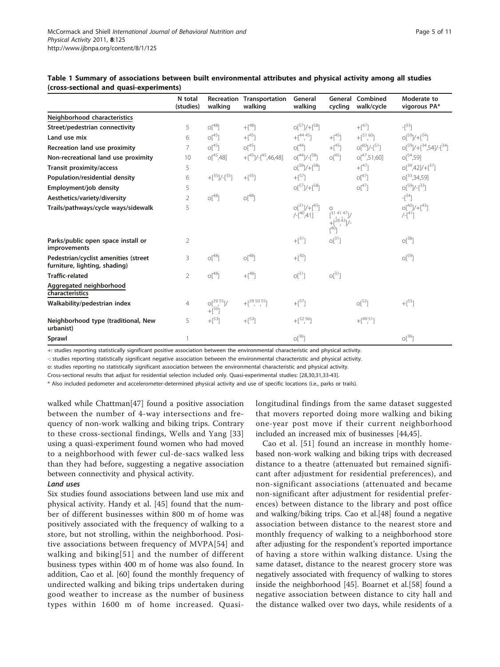|                                                                       | N total<br>(studies) | Recreation<br>walking                             | Transportation<br>walking            | General<br>walking                                              | General<br>cycling                                                                                              | Combined<br>walk/cycle                | Moderate to<br>vigorous PA*                                   |
|-----------------------------------------------------------------------|----------------------|---------------------------------------------------|--------------------------------------|-----------------------------------------------------------------|-----------------------------------------------------------------------------------------------------------------|---------------------------------------|---------------------------------------------------------------|
| Neighborhood characteristics                                          |                      |                                                   |                                      |                                                                 |                                                                                                                 |                                       |                                                               |
| Street/pedestrian connectivity                                        | 5                    | $O[^{48}]$                                        | $+[^{48}]$                           | $O[^{57}]/+[^{58}]$                                             |                                                                                                                 | $+$ $\left[$ <sup>47</sup> $\right]$  | $-[33]$                                                       |
| Land use mix                                                          | 6                    | $\circ$ <sup>45</sup> ]                           | $+[^{45}]$                           | $+[^{44,45}]$                                                   | $+[^{45}]$                                                                                                      | $+$ [ <sup>51</sup> , <sup>60</sup> ] | $O[^{59}]/+[^{54}]$                                           |
| Recreation land use proximity                                         | 7                    | $O[^{45}]$                                        | $O[^{45}]$                           | $O[^{44}]$                                                      | $+[^{45}]$                                                                                                      | $O[^{60}]/-[^{51}]$                   | $O[$ <sup>59</sup> ]/+[ <sup>34</sup> ,54]/-[ <sup>34</sup> ] |
| Non-recreational land use proximity                                   | 10 <sup>2</sup>      | $O[^{45}A8]$                                      | $+[{}^{45}]/-[{}^{45},46,48]$        | $O[^{44}]/-[^{58}]$                                             | $O[^{45}]$                                                                                                      | $O[^{47}, 51, 60]$                    | $O[$ <sup>54</sup> ,59]                                       |
| <b>Transit proximity/access</b>                                       | 5                    |                                                   |                                      | $O[^{39}]/+[^{58}]$                                             |                                                                                                                 | $+[^{47}]$                            | $O[^{39}42]/+[^{37}]$                                         |
| Population/residential density                                        | 6                    | $+[{}^{35}]/-[{}^{35}]$                           | $+[^{35}]$                           | $+[^{57}]$                                                      |                                                                                                                 | $O[^{47}]$                            | $O[^{33},34,59]$                                              |
| Employment/job density                                                | 5                    |                                                   |                                      | $O[^{57}]/+[^{58}]$                                             |                                                                                                                 | $O[^{47}]$                            | $O[^{59}]/-[^{33}]$                                           |
| Aesthetics/variety/diversity                                          | $\overline{2}$       | $O[^{48}]$                                        | $O[^{48}]$                           |                                                                 |                                                                                                                 |                                       | $-[34]$                                                       |
| Trails/pathways/cycle ways/sidewalk                                   | 5                    |                                                   |                                      | o[ <sup>31</sup> ]/+[ <sup>43</sup> ]<br>/-[ <sup>40</sup> ,41] | $\circ$<br>$\begin{bmatrix} 31 & 41 & 47 \\ 4 & 7 & 14 \\ 4 & 4 & 14 \\ 4 & 1 & 14 \\ 1 & 4 & 14 \end{bmatrix}$ |                                       | $O[^{40}]/+[^{43}]$<br>$/$ - $[$ <sup>41</sup> ]              |
| Parks/public open space install or<br>improvements                    | $\overline{2}$       |                                                   |                                      | $+[^{31}]$                                                      | $O[^{31}]$                                                                                                      |                                       | $o[^{38}]$                                                    |
| Pedestrian/cyclist amenities (street<br>furniture, lighting, shading) | 3                    | $O[^{48}]$                                        | $O[^{48}]$                           | $+[^{30}$ ]                                                     |                                                                                                                 |                                       | O[59]                                                         |
| <b>Traffic-related</b>                                                | $\mathcal{P}$        | $O[^{48}]$                                        | $+[{}^{48}]$                         | $O[^{31}]$                                                      | $O[^{31}]$                                                                                                      |                                       |                                                               |
| Aggregated neighborhood<br>characteristics                            |                      |                                                   |                                      |                                                                 |                                                                                                                 |                                       |                                                               |
| Walkability/pedestrian index                                          | $\overline{4}$       | $O[{^{29} \atop ,}^{50}] / \nonumber + [{^{50}}]$ | $+[{}^{29}$ , ${}^{50}$ , ${}^{55}]$ | $+[^{57}]$                                                      |                                                                                                                 | $O[^{52}]$                            | $+[^{55}]$                                                    |
| Neighborhood type (traditional, New<br>urbanist)                      | 5                    | $+[^{53}]$                                        | $+[^{53}]$                           | $+[{}^{32,56}]$                                                 |                                                                                                                 | $+[^{49,51}]$                         |                                                               |
| Sprawl                                                                | 1                    |                                                   |                                      | $O[^{36}]$                                                      |                                                                                                                 |                                       | $O[^{36}]$                                                    |

<span id="page-4-0"></span>Table 1 Summary of associations between built environmental attributes and physical activity among all studies (cross-sectional and quasi-experiments)

+: studies reporting statistically significant positive association between the environmental characteristic and physical activity.

-: studies reporting statistically significant negative association between the environmental characteristic and physical activity.

o: studies reporting no statistically significant association between the environmental characteristic and physical activity.

Cross-sectional results that adjust for residential selection included only. Quasi-experimental studies: [[28,30,31](#page-9-0),[33-43\]](#page-9-0).

\* Also included pedometer and accelerometer-determined physical activity and use of specific locations (i.e., parks or trails).

walked while Chattman[\[47](#page-10-0)] found a positive association between the number of 4-way intersections and frequency of non-work walking and biking trips. Contrary to these cross-sectional findings, Wells and Yang [[33](#page-9-0)] using a quasi-experiment found women who had moved to a neighborhood with fewer cul-de-sacs walked less than they had before, suggesting a negative association between connectivity and physical activity.

#### Land uses

Six studies found associations between land use mix and physical activity. Handy et al. [[45\]](#page-10-0) found that the number of different businesses within 800 m of home was positively associated with the frequency of walking to a store, but not strolling, within the neighborhood. Positive associations between frequency of MVPA[[54](#page-10-0)] and walking and biking[[51\]](#page-10-0) and the number of different business types within 400 m of home was also found. In addition, Cao et al. [[60\]](#page-10-0) found the monthly frequency of undirected walking and biking trips undertaken during good weather to increase as the number of business types within 1600 m of home increased. Quasilongitudinal findings from the same dataset suggested that movers reported doing more walking and biking one-year post move if their current neighborhood included an increased mix of businesses [[44,45](#page-10-0)].

Cao et al. [\[51\]](#page-10-0) found an increase in monthly homebased non-work walking and biking trips with decreased distance to a theatre (attenuated but remained significant after adjustment for residential preferences), and non-significant associations (attenuated and became non-significant after adjustment for residential preferences) between distance to the library and post office and walking/biking trips. Cao et al.[[48](#page-10-0)] found a negative association between distance to the nearest store and monthly frequency of walking to a neighborhood store after adjusting for the respondent's reported importance of having a store within walking distance. Using the same dataset, distance to the nearest grocery store was negatively associated with frequency of walking to stores inside the neighborhood [[45\]](#page-10-0). Boarnet et al.[\[58](#page-10-0)] found a negative association between distance to city hall and the distance walked over two days, while residents of a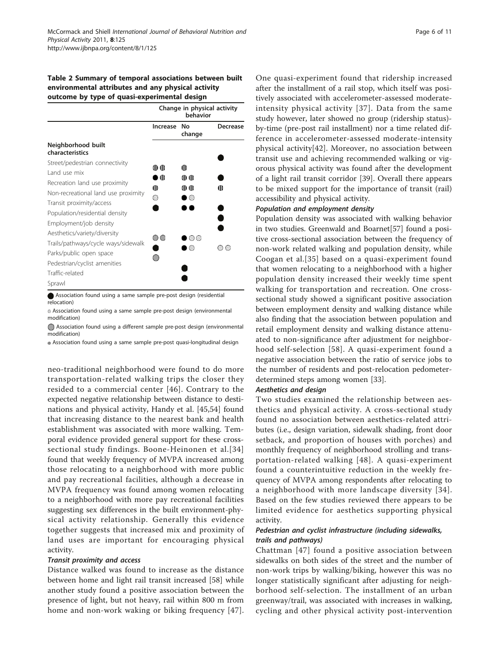<span id="page-5-0"></span>Table 2 Summary of temporal associations between built environmental attributes and any physical activity outcome by type of quasi-experimental design

|                                       | Change in physical activity<br>behavior |              |            |  |
|---------------------------------------|-----------------------------------------|--------------|------------|--|
|                                       | Increase                                | N٥<br>change | Decrease   |  |
| Neighborhood built<br>characteristics |                                         |              |            |  |
| Street/pedestrian connectivity        | Փ Փ                                     | ❶            |            |  |
| Land use mix                          | ❶                                       | Փ Փ          |            |  |
| Recreation land use proximity         | ❶                                       | Փ Փ          | ⋔          |  |
| Non-recreational land use proximity   | ◎                                       |              |            |  |
| Transit proximity/access              |                                         | െ            |            |  |
| Population/residential density        |                                         |              |            |  |
| Employment/job density                |                                         |              |            |  |
| Aesthetics/variety/diversity          |                                         | 69 O         |            |  |
| Trails/pathways/cycle ways/sidewalk   | $\Gamma$                                |              | $\epsilon$ |  |
| Parks/public open space               |                                         | C.           |            |  |
| Pedestrian/cyclist amenities          |                                         |              |            |  |
| Traffic-related                       |                                         |              |            |  |
| Sprawl                                |                                         |              |            |  |

Association found using a same sample pre-post design (residential relocation)

Association found using a same sample pre-post design (environmental modification)

Association found using a different sample pre-post design (environmental modification)

Association found using a same sample pre-post quasi-longitudinal design

neo-traditional neighborhood were found to do more transportation-related walking trips the closer they resided to a commercial center [[46](#page-10-0)]. Contrary to the expected negative relationship between distance to destinations and physical activity, Handy et al. [[45,54\]](#page-10-0) found that increasing distance to the nearest bank and health establishment was associated with more walking. Temporal evidence provided general support for these crosssectional study findings. Boone-Heinonen et al.[[34](#page-9-0)] found that weekly frequency of MVPA increased among those relocating to a neighborhood with more public and pay recreational facilities, although a decrease in MVPA frequency was found among women relocating to a neighborhood with more pay recreational facilities suggesting sex differences in the built environment-physical activity relationship. Generally this evidence together suggests that increased mix and proximity of land uses are important for encouraging physical activity.

### Transit proximity and access

Distance walked was found to increase as the distance between home and light rail transit increased [\[58](#page-10-0)] while another study found a positive association between the presence of light, but not heavy, rail within 800 m from home and non-work waking or biking frequency [[47\]](#page-10-0).

One quasi-experiment found that ridership increased after the installment of a rail stop, which itself was positively associated with accelerometer-assessed moderateintensity physical activity [[37](#page-9-0)]. Data from the same study however, later showed no group (ridership status) by-time (pre-post rail installment) nor a time related difference in accelerometer-assessed moderate-intensity physical activity[[42](#page-9-0)]. Moreover, no association between transit use and achieving recommended walking or vigorous physical activity was found after the development of a light rail transit corridor [[39](#page-9-0)]. Overall there appears to be mixed support for the importance of transit (rail) accessibility and physical activity.

#### Population and employment density

Population density was associated with walking behavior in two studies. Greenwald and Boarnet[[57\]](#page-10-0) found a positive cross-sectional association between the frequency of non-work related walking and population density, while Coogan et al.[\[35\]](#page-9-0) based on a quasi-experiment found that women relocating to a neighborhood with a higher population density increased their weekly time spent walking for transportation and recreation. One crosssectional study showed a significant positive association between employment density and walking distance while also finding that the association between population and retail employment density and walking distance attenuated to non-significance after adjustment for neighborhood self-selection [[58](#page-10-0)]. A quasi-experiment found a negative association between the ratio of service jobs to the number of residents and post-relocation pedometerdetermined steps among women [[33\]](#page-9-0).

# Aesthetics and design

Two studies examined the relationship between aesthetics and physical activity. A cross-sectional study found no association between aesthetics-related attributes (i.e., design variation, sidewalk shading, front door setback, and proportion of houses with porches) and monthly frequency of neighborhood strolling and transportation-related walking [[48\]](#page-10-0). A quasi-experiment found a counterintuitive reduction in the weekly frequency of MVPA among respondents after relocating to a neighborhood with more landscape diversity [[34\]](#page-9-0). Based on the few studies reviewed there appears to be limited evidence for aesthetics supporting physical activity.

# Pedestrian and cyclist infrastructure (including sidewalks, trails and pathways)

Chattman [[47](#page-10-0)] found a positive association between sidewalks on both sides of the street and the number of non-work trips by walking/biking, however this was no longer statistically significant after adjusting for neighborhood self-selection. The installment of an urban greenway/trail, was associated with increases in walking, cycling and other physical activity post-intervention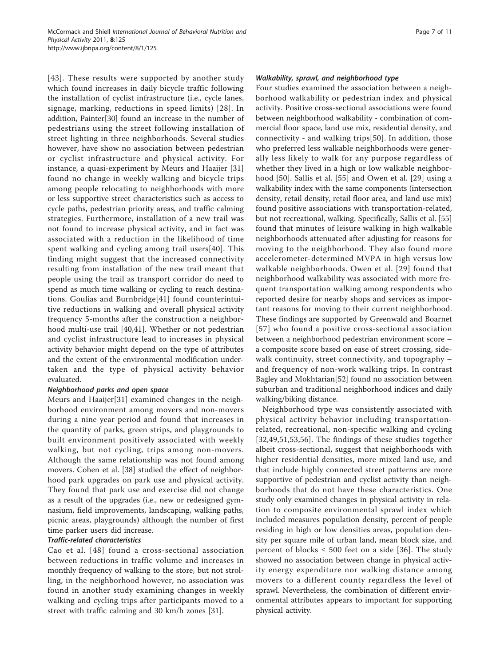[[43\]](#page-9-0). These results were supported by another study which found increases in daily bicycle traffic following the installation of cyclist infrastructure (i.e., cycle lanes, signage, marking, reductions in speed limits) [[28](#page-9-0)]. In addition, Painter[[30](#page-9-0)] found an increase in the number of pedestrians using the street following installation of street lighting in three neighborhoods. Several studies however, have show no association between pedestrian or cyclist infrastructure and physical activity. For instance, a quasi-experiment by Meurs and Haaijer [\[31](#page-9-0)] found no change in weekly walking and bicycle trips among people relocating to neighborhoods with more or less supportive street characteristics such as access to cycle paths, pedestrian priority areas, and traffic calming strategies. Furthermore, installation of a new trail was not found to increase physical activity, and in fact was associated with a reduction in the likelihood of time spent walking and cycling among trail users[[40](#page-9-0)]. This finding might suggest that the increased connectivity resulting from installation of the new trail meant that people using the trail as transport corridor do need to spend as much time walking or cycling to reach destinations. Goulias and Burnbridge[[41](#page-9-0)] found counterintuitive reductions in walking and overall physical activity frequency 5-months after the construction a neighborhood multi-use trail [\[40,41](#page-9-0)]. Whether or not pedestrian and cyclist infrastructure lead to increases in physical activity behavior might depend on the type of attributes and the extent of the environmental modification undertaken and the type of physical activity behavior evaluated.

# Neighborhood parks and open space

Meurs and Haaijer[[31](#page-9-0)] examined changes in the neighborhood environment among movers and non-movers during a nine year period and found that increases in the quantity of parks, green strips, and playgrounds to built environment positively associated with weekly walking, but not cycling, trips among non-movers. Although the same relationship was not found among movers. Cohen et al. [\[38](#page-9-0)] studied the effect of neighborhood park upgrades on park use and physical activity. They found that park use and exercise did not change as a result of the upgrades (i.e., new or redesigned gymnasium, field improvements, landscaping, walking paths, picnic areas, playgrounds) although the number of first time parker users did increase.

# Traffic-related characteristics

Cao et al. [\[48](#page-10-0)] found a cross-sectional association between reductions in traffic volume and increases in monthly frequency of walking to the store, but not strolling, in the neighborhood however, no association was found in another study examining changes in weekly walking and cycling trips after participants moved to a street with traffic calming and 30 km/h zones [\[31](#page-9-0)].

# Walkability, sprawl, and neighborhood type

Four studies examined the association between a neighborhood walkability or pedestrian index and physical activity. Positive cross-sectional associations were found between neighborhood walkability - combination of commercial floor space, land use mix, residential density, and connectivity - and walking trips[[50](#page-10-0)]. In addition, those who preferred less walkable neighborhoods were generally less likely to walk for any purpose regardless of whether they lived in a high or low walkable neighborhood [\[50\]](#page-10-0). Sallis et al. [[55\]](#page-10-0) and Owen et al. [\[29](#page-9-0)] using a walkability index with the same components (intersection density, retail density, retail floor area, and land use mix) found positive associations with transportation-related, but not recreational, walking. Specifically, Sallis et al. [[55](#page-10-0)] found that minutes of leisure walking in high walkable neighborhoods attenuated after adjusting for reasons for moving to the neighborhood. They also found more accelerometer-determined MVPA in high versus low walkable neighborhoods. Owen et al. [[29\]](#page-9-0) found that neighborhood walkability was associated with more frequent transportation walking among respondents who reported desire for nearby shops and services as important reasons for moving to their current neighborhood. These findings are supported by Greenwald and Boarnet [[57\]](#page-10-0) who found a positive cross-sectional association between a neighborhood pedestrian environment score – a composite score based on ease of street crossing, sidewalk continuity, street connectivity, and topography – and frequency of non-work walking trips. In contrast Bagley and Mokhtarian[\[52](#page-10-0)] found no association between suburban and traditional neighborhood indices and daily walking/biking distance.

Neighborhood type was consistently associated with physical activity behavior including transportationrelated, recreational, non-specific walking and cycling [[32](#page-9-0)[,49,51,53](#page-10-0),[56\]](#page-10-0). The findings of these studies together albeit cross-sectional, suggest that neighborhoods with higher residential densities, more mixed land use, and that include highly connected street patterns are more supportive of pedestrian and cyclist activity than neighborhoods that do not have these characteristics. One study only examined changes in physical activity in relation to composite environmental sprawl index which included measures population density, percent of people residing in high or low densities areas, population density per square mile of urban land, mean block size, and percent of blocks  $\leq 500$  feet on a side [[36](#page-9-0)]. The study showed no association between change in physical activity energy expenditure nor walking distance among movers to a different county regardless the level of sprawl. Nevertheless, the combination of different environmental attributes appears to important for supporting physical activity.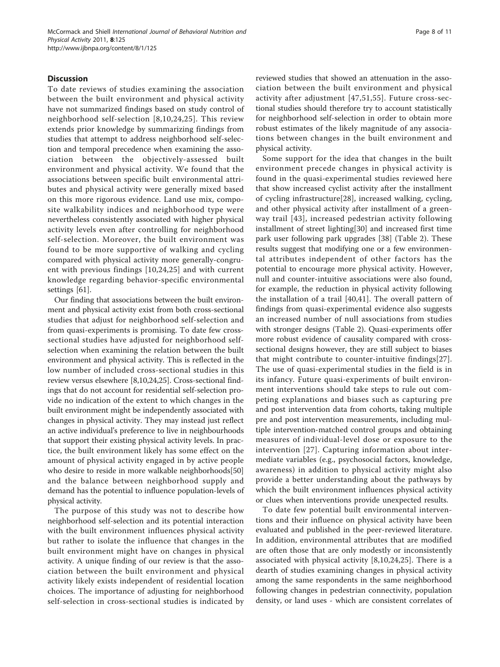# **Discussion**

To date reviews of studies examining the association between the built environment and physical activity have not summarized findings based on study control of neighborhood self-selection [[8](#page-9-0),[10,24,25\]](#page-9-0). This review extends prior knowledge by summarizing findings from studies that attempt to address neighborhood self-selection and temporal precedence when examining the association between the objectively-assessed built environment and physical activity. We found that the associations between specific built environmental attributes and physical activity were generally mixed based on this more rigorous evidence. Land use mix, composite walkability indices and neighborhood type were nevertheless consistently associated with higher physical activity levels even after controlling for neighborhood self-selection. Moreover, the built environment was found to be more supportive of walking and cycling compared with physical activity more generally-congruent with previous findings [[10](#page-9-0),[24,25](#page-9-0)] and with current knowledge regarding behavior-specific environmental settings [[61\]](#page-10-0).

Our finding that associations between the built environment and physical activity exist from both cross-sectional studies that adjust for neighborhood self-selection and from quasi-experiments is promising. To date few crosssectional studies have adjusted for neighborhood selfselection when examining the relation between the built environment and physical activity. This is reflected in the low number of included cross-sectional studies in this review versus elsewhere [[8](#page-9-0),[10,24,25\]](#page-9-0). Cross-sectional findings that do not account for residential self-selection provide no indication of the extent to which changes in the built environment might be independently associated with changes in physical activity. They may instead just reflect an active individual's preference to live in neighbourhoods that support their existing physical activity levels. In practice, the built environment likely has some effect on the amount of physical activity engaged in by active people who desire to reside in more walkable neighborhoods[[50](#page-10-0)] and the balance between neighborhood supply and demand has the potential to influence population-levels of physical activity.

The purpose of this study was not to describe how neighborhood self-selection and its potential interaction with the built environment influences physical activity but rather to isolate the influence that changes in the built environment might have on changes in physical activity. A unique finding of our review is that the association between the built environment and physical activity likely exists independent of residential location choices. The importance of adjusting for neighborhood self-selection in cross-sectional studies is indicated by reviewed studies that showed an attenuation in the association between the built environment and physical activity after adjustment [[47,51](#page-10-0),[55](#page-10-0)]. Future cross-sectional studies should therefore try to account statistically for neighborhood self-selection in order to obtain more robust estimates of the likely magnitude of any associations between changes in the built environment and physical activity.

Some support for the idea that changes in the built environment precede changes in physical activity is found in the quasi-experimental studies reviewed here that show increased cyclist activity after the installment of cycling infrastructure[[28\]](#page-9-0), increased walking, cycling, and other physical activity after installment of a greenway trail [[43](#page-9-0)], increased pedestrian activity following installment of street lighting[[30\]](#page-9-0) and increased first time park user following park upgrades [[38\]](#page-9-0) (Table [2](#page-5-0)). These results suggest that modifying one or a few environmental attributes independent of other factors has the potential to encourage more physical activity. However, null and counter-intuitive associations were also found, for example, the reduction in physical activity following the installation of a trail [\[40](#page-9-0),[41\]](#page-9-0). The overall pattern of findings from quasi-experimental evidence also suggests an increased number of null associations from studies with stronger designs (Table [2\)](#page-5-0). Quasi-experiments offer more robust evidence of causality compared with crosssectional designs however, they are still subject to biases that might contribute to counter-intuitive findings[[27](#page-9-0)]. The use of quasi-experimental studies in the field is in its infancy. Future quasi-experiments of built environment interventions should take steps to rule out competing explanations and biases such as capturing pre and post intervention data from cohorts, taking multiple pre and post intervention measurements, including multiple intervention-matched control groups and obtaining measures of individual-level dose or exposure to the intervention [[27](#page-9-0)]. Capturing information about intermediate variables (e.g., psychosocial factors, knowledge, awareness) in addition to physical activity might also provide a better understanding about the pathways by which the built environment influences physical activity or clues when interventions provide unexpected results.

To date few potential built environmental interventions and their influence on physical activity have been evaluated and published in the peer-reviewed literature. In addition, environmental attributes that are modified are often those that are only modestly or inconsistently associated with physical activity [\[8](#page-9-0),[10,24,25](#page-9-0)]. There is a dearth of studies examining changes in physical activity among the same respondents in the same neighborhood following changes in pedestrian connectivity, population density, or land uses - which are consistent correlates of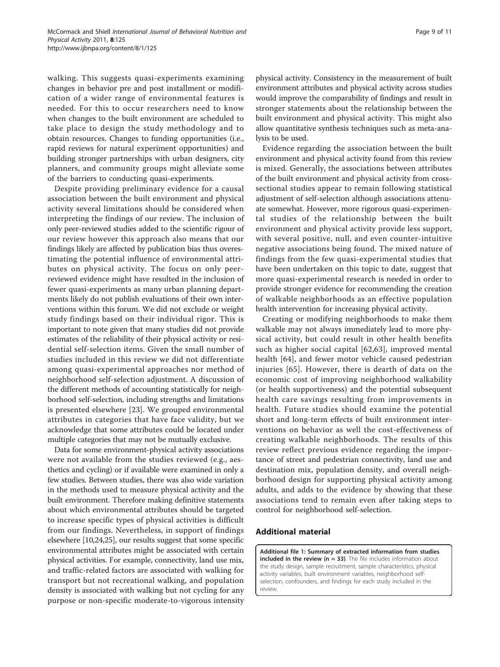<span id="page-8-0"></span>walking. This suggests quasi-experiments examining changes in behavior pre and post installment or modification of a wider range of environmental features is needed. For this to occur researchers need to know when changes to the built environment are scheduled to take place to design the study methodology and to obtain resources. Changes to funding opportunities (i.e., rapid reviews for natural experiment opportunities) and building stronger partnerships with urban designers, city planners, and community groups might alleviate some of the barriers to conducting quasi-experiments.

Despite providing preliminary evidence for a causal association between the built environment and physical activity several limitations should be considered when interpreting the findings of our review. The inclusion of only peer-reviewed studies added to the scientific rigour of our review however this approach also means that our findings likely are affected by publication bias thus overestimating the potential influence of environmental attributes on physical activity. The focus on only peerreviewed evidence might have resulted in the inclusion of fewer quasi-experiments as many urban planning departments likely do not publish evaluations of their own interventions within this forum. We did not exclude or weight study findings based on their individual rigor. This is important to note given that many studies did not provide estimates of the reliability of their physical activity or residential self-selection items. Given the small number of studies included in this review we did not differentiate among quasi-experimental approaches nor method of neighborhood self-selection adjustment. A discussion of the different methods of accounting statistically for neighborhood self-selection, including strengths and limitations is presented elsewhere [[23\]](#page-9-0). We grouped environmental attributes in categories that have face validity, but we acknowledge that some attributes could be located under multiple categories that may not be mutually exclusive.

Data for some environment-physical activity associations were not available from the studies reviewed (e.g., aesthetics and cycling) or if available were examined in only a few studies. Between studies, there was also wide variation in the methods used to measure physical activity and the built environment. Therefore making definitive statements about which environmental attributes should be targeted to increase specific types of physical activities is difficult from our findings. Nevertheless, in support of findings elsewhere [\[10,24](#page-9-0),[25](#page-9-0)], our results suggest that some specific environmental attributes might be associated with certain physical activities. For example, connectivity, land use mix, and traffic-related factors are associated with walking for transport but not recreational walking, and population density is associated with walking but not cycling for any purpose or non-specific moderate-to-vigorous intensity

physical activity. Consistency in the measurement of built environment attributes and physical activity across studies would improve the comparability of findings and result in stronger statements about the relationship between the built environment and physical activity. This might also allow quantitative synthesis techniques such as meta-analysis to be used.

Evidence regarding the association between the built environment and physical activity found from this review is mixed. Generally, the associations between attributes of the built environment and physical activity from crosssectional studies appear to remain following statistical adjustment of self-selection although associations attenuate somewhat. However, more rigorous quasi-experimental studies of the relationship between the built environment and physical activity provide less support, with several positive, null, and even counter-intuitive negative associations being found. The mixed nature of findings from the few quasi-experimental studies that have been undertaken on this topic to date, suggest that more quasi-experimental research is needed in order to provide stronger evidence for recommending the creation of walkable neighborhoods as an effective population health intervention for increasing physical activity.

Creating or modifying neighborhoods to make them walkable may not always immediately lead to more physical activity, but could result in other health benefits such as higher social capital [\[62,63](#page-10-0)], improved mental health [\[64](#page-10-0)], and fewer motor vehicle caused pedestrian injuries [[65\]](#page-10-0). However, there is dearth of data on the economic cost of improving neighborhood walkability (or health supportiveness) and the potential subsequent health care savings resulting from improvements in health. Future studies should examine the potential short and long-term effects of built environment interventions on behavior as well the cost-effectiveness of creating walkable neighborhoods. The results of this review reflect previous evidence regarding the importance of street and pedestrian connectivity, land use and destination mix, population density, and overall neighborhood design for supporting physical activity among adults, and adds to the evidence by showing that these associations tend to remain even after taking steps to control for neighborhood self-selection.

# Additional material

[Additional file 1: S](http://www.biomedcentral.com/content/supplementary/1479-5868-8-125-S1.DOC)ummary of extracted information from studies included in the review  $(n = 33)$ . The file includes information about the study design, sample recruitment, sample characteristics, physical activity variables, built environment variables, neighborhood selfselection, confounders, and findings for each study included in the review.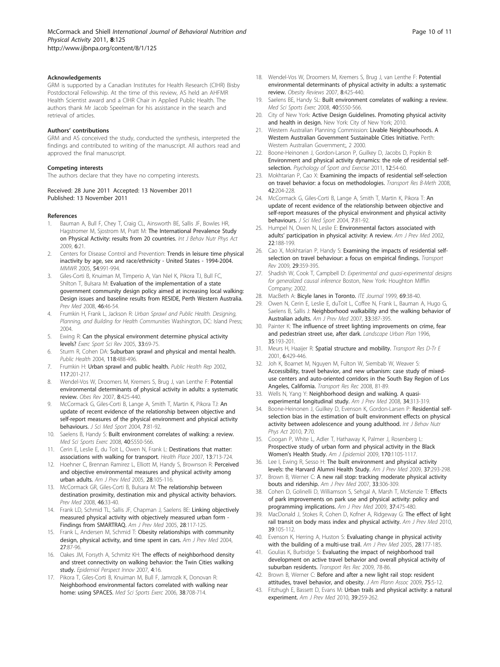<span id="page-9-0"></span>GRM is supported by a Canadian Institutes for Health Research (CIHR) Bisby Postdoctoral Fellowship. At the time of this review, AS held an AHFMR Health Scientist award and a CIHR Chair in Applied Public Health. The authors thank Mr Jacob Speelman for his assistance in the search and retrieval of articles.

#### Authors' contributions

GRM and AS conceived the study, conducted the synthesis, interpreted the findings and contributed to writing of the manuscript. All authors read and approved the final manuscript.

#### Competing interests

The authors declare that they have no competing interests.

#### Received: 28 June 2011 Accepted: 13 November 2011 Published: 13 November 2011

#### References

- 1. Bauman A, Bull F, Chey T, Craig CL, Ainsworth BE, Sallis JF, Bowles HR, Hagstromer M, Sjostrom M, Pratt M: [The International Prevalence Study](http://www.ncbi.nlm.nih.gov/pubmed/19335883?dopt=Abstract) [on Physical Activity: results from 20 countries.](http://www.ncbi.nlm.nih.gov/pubmed/19335883?dopt=Abstract) Int J Behav Nutr Phys Act 2009, 6:21.
- 2. Centers for Disease Control and Prevention: [Trends in leisure time physical](http://www.ncbi.nlm.nih.gov/pubmed/16208312?dopt=Abstract) [inactivity by age, sex and race/ethnicity - United States - 1994-2004.](http://www.ncbi.nlm.nih.gov/pubmed/16208312?dopt=Abstract) MMWR 2005, 54:991-994.
- 3. Giles-Corti B, Knuiman M, Timperio A, Van Niel K, Pikora TJ, Bull FC, Shilton T, Bulsara M: [Evaluation of the implementation of a state](http://www.ncbi.nlm.nih.gov/pubmed/17881044?dopt=Abstract) [government community design policy aimed at increasing local walking:](http://www.ncbi.nlm.nih.gov/pubmed/17881044?dopt=Abstract) [Design issues and baseline results from RESIDE, Perth Western Australia.](http://www.ncbi.nlm.nih.gov/pubmed/17881044?dopt=Abstract) Prev Med 2008, 46:46-54.
- 4. Frumkin H, Frank L, Jackson R: Urban Sprawl and Public Health. Designing, Planning, and Building for Health Communities Washington, DC: Island Press; 2004.
- 5. Ewing R: [Can the physical environment determine physical activity](http://www.ncbi.nlm.nih.gov/pubmed/15821427?dopt=Abstract) [levels?](http://www.ncbi.nlm.nih.gov/pubmed/15821427?dopt=Abstract) Exerc Sport Sci Rev 2005, 33:69-75.
- 6. Sturm R, Cohen DA: [Suburban sprawl and physical and mental health.](http://www.ncbi.nlm.nih.gov/pubmed/15351221?dopt=Abstract) Public Health 2004, 118:488-496.
- 7. Frumkin H: [Urban sprawl and public health.](http://www.ncbi.nlm.nih.gov/pubmed/12432132?dopt=Abstract) Public Health Rep 2002, 117:201-217.
- 8. Wendel-Vos W, Droomers M, Kremers S, Brug J, van Lenthe F: [Potential](http://www.ncbi.nlm.nih.gov/pubmed/17716300?dopt=Abstract) [environmental determinants of physical activity in adults: a systematic](http://www.ncbi.nlm.nih.gov/pubmed/17716300?dopt=Abstract) [review.](http://www.ncbi.nlm.nih.gov/pubmed/17716300?dopt=Abstract) Obes Rev 2007, 8:425-440.
- McCormack G, Giles-Corti B, Lange A, Smith T, Martin K, Pikora TJ: [An](http://www.ncbi.nlm.nih.gov/pubmed/15214606?dopt=Abstract) [update of recent evidence of the relationship between objective and](http://www.ncbi.nlm.nih.gov/pubmed/15214606?dopt=Abstract) [self-report measures of the physical environment and physical activity](http://www.ncbi.nlm.nih.gov/pubmed/15214606?dopt=Abstract) [behaviours.](http://www.ncbi.nlm.nih.gov/pubmed/15214606?dopt=Abstract) J Sci Med Sport 2004, 7:81-92.
- 10. Saelens B, Handy S: [Built environment correlates of walking: a review.](http://www.ncbi.nlm.nih.gov/pubmed/18562973?dopt=Abstract) Med Sci Sports Exerc 2008, 40:S550-566.
- 11. Cerin E, Leslie E, du Toit L, Owen N, Frank L: [Destinations that matter:](http://www.ncbi.nlm.nih.gov/pubmed/17239654?dopt=Abstract) [associations with walking for transport.](http://www.ncbi.nlm.nih.gov/pubmed/17239654?dopt=Abstract) Health Place 2007, 13:713-724.
- 12. Hoehner C, Brennan Ramirez L, Elliott M, Handy S, Brownson R: [Perceived](http://www.ncbi.nlm.nih.gov/pubmed/15694518?dopt=Abstract) [and objective environmental measures and physical activity among](http://www.ncbi.nlm.nih.gov/pubmed/15694518?dopt=Abstract) [urban adults.](http://www.ncbi.nlm.nih.gov/pubmed/15694518?dopt=Abstract) Am J Prev Med 2005, 28:105-116.
- 13. McCormack GR, Giles-Corti B, Bulsara M: [The relationship between](http://www.ncbi.nlm.nih.gov/pubmed/17481721?dopt=Abstract) [destination proximity, destination mix and physical activity behaviors.](http://www.ncbi.nlm.nih.gov/pubmed/17481721?dopt=Abstract) Prev Med 2008, 46:33-40.
- 14. Frank LD, Schmid TL, Sallis JF, Chapman J, Saelens BE: [Linking objectively](http://www.ncbi.nlm.nih.gov/pubmed/15694519?dopt=Abstract) [measured physical activity with objectively measured urban form -](http://www.ncbi.nlm.nih.gov/pubmed/15694519?dopt=Abstract) [Findings from SMARTRAQ.](http://www.ncbi.nlm.nih.gov/pubmed/15694519?dopt=Abstract) Am J Prev Med 2005, 28:117-125.
- 15. Frank L, Andersen M, Schmid T: [Obesity relationships with community](http://www.ncbi.nlm.nih.gov/pubmed/15261894?dopt=Abstract) [design, physical activity, and time spent in cars.](http://www.ncbi.nlm.nih.gov/pubmed/15261894?dopt=Abstract) Am J Prev Med 2004, 27:87-96.
- 16. Oakes JM, Forsyth A, Schmitz KH: The [effects of neighborhood density](http://www.ncbi.nlm.nih.gov/pubmed/18078510?dopt=Abstract) [and street connectivity on walking behavior: the Twin Cities walking](http://www.ncbi.nlm.nih.gov/pubmed/18078510?dopt=Abstract) [study.](http://www.ncbi.nlm.nih.gov/pubmed/18078510?dopt=Abstract) Epidemiol Perspect Innov 2007, 4:16.
- 17. Pikora T, Giles-Corti B, Knuiman M, Bull F, Jamrozik K, Donovan R: [Neighborhood environmental factors correlated with walking near](http://www.ncbi.nlm.nih.gov/pubmed/16679987?dopt=Abstract) [home: using SPACES.](http://www.ncbi.nlm.nih.gov/pubmed/16679987?dopt=Abstract) Med Sci Sports Exerc 2006, 38:708-714.
- 18. Wendel-Vos W, Droomers M, Kremers S, Brug J, van Lenthe F: [Potential](http://www.ncbi.nlm.nih.gov/pubmed/17716300?dopt=Abstract) [environmental determinants of physical activity in adults: a systematic](http://www.ncbi.nlm.nih.gov/pubmed/17716300?dopt=Abstract) [review.](http://www.ncbi.nlm.nih.gov/pubmed/17716300?dopt=Abstract) Obesity Reviews 2007, 8:425-440.
- 19. Saelens BE, Handy SL: [Built environment correlates of walking: a review.](http://www.ncbi.nlm.nih.gov/pubmed/18562973?dopt=Abstract) Med Sci Sports Exerc 2008, 40:S550-566.
- 20. City of New York: Active Design Guidelines. Promoting physical activity and health in design. New York: City of New York; 2010.
- 21. Western Australian Planning Commission: Livable Neighbourhoods. A Western Australian Government Sustainable Cities Initiative. Perth: Western Australian Government: 2 2000.
- 22. Boone-Heinonen J, Gordon-Larson P, Guilkey D, Jacobs D, Popkin B: [Environment and physical activity dynamics: the role of residential self](http://www.ncbi.nlm.nih.gov/pubmed/21516236?dopt=Abstract)[selection.](http://www.ncbi.nlm.nih.gov/pubmed/21516236?dopt=Abstract) Psychology of Sport and Exercise 2011, 12:54-60.
- 23. Mokhtarian P, Cao X: Examining the impacts of residential self-selection on travel behavior: a focus on methodologies. Transport Res B-Meth 2008, 42:204-228.
- 24. McCormack G, Giles-Corti B, Lange A, Smith T, Martin K, Pikora T: [An](http://www.ncbi.nlm.nih.gov/pubmed/15214606?dopt=Abstract) [update of recent evidence of the relationship between objective and](http://www.ncbi.nlm.nih.gov/pubmed/15214606?dopt=Abstract) [self-report measures of the physical environment and physical activity](http://www.ncbi.nlm.nih.gov/pubmed/15214606?dopt=Abstract) [behaviours.](http://www.ncbi.nlm.nih.gov/pubmed/15214606?dopt=Abstract) J Sci Med Sport 2004, 7:81-92.
- 25. Humpel N, Owen N, Leslie E: [Environmental factors associated with](http://www.ncbi.nlm.nih.gov/pubmed/11897464?dopt=Abstract) adults' [participation in physical activity: A review.](http://www.ncbi.nlm.nih.gov/pubmed/11897464?dopt=Abstract) Am J Prev Med 2002, 22:188-199.
- 26. Cao X, Mokhtarian P, Handy S: Examining the impacts of residential selfselection on travel behaviour: a focus on empirical findings. Transport Rev 2009, 29:359-395.
- 27. Shadish W, Cook T, Campbell D: Experimental and quasi-experimental designs for generalized causal inference Boston, New York: Houghton Mifflin Company; 2002.
- 28. MacBeth A: Bicyle lanes in Toronto. ITE Journal 1999, 69:38-40.
- 29. Owen N, Cerin E, Leslie E, duToit L, Coffee N, Frank L, Bauman A, Hugo G, Saelens B, Sallis J: [Neighborhood walkability and the walking behavior of](http://www.ncbi.nlm.nih.gov/pubmed/17950404?dopt=Abstract) [Australian adults.](http://www.ncbi.nlm.nih.gov/pubmed/17950404?dopt=Abstract) Am J Prev Med 2007, 33:387-395.
- 30. Painter K: The influence of street lighting improvements on crime, fear and pedestrian street use, after dark. Landscape Urban Plan 1996, 35:193-201.
- 31. Meurs H, Haaijer R: Spatial structure and mobility. Transport Res D-Tr E 2001, 6:429-446.
- 32. Joh K, Boarnet M, Nguyen M, Fulton W, Siembab W, Weaver S: Accessibility, travel behavior, and new urbanism: case study of mixeduse centers and auto-oriented corridors in the South Bay Region of Los Angeles, California. Transport Res Rec 2008, 81-89.
- 33. Wells N, Yang Y: [Neighborhood design and walking. A quasi](http://www.ncbi.nlm.nih.gov/pubmed/18374245?dopt=Abstract)[experimental longitudinal study.](http://www.ncbi.nlm.nih.gov/pubmed/18374245?dopt=Abstract) Am J Prev Med 2008, 34:313-319.
- 34. Boone-Heinonen J, Guilkey D, Evenson K, Gordon-Larsen P: [Residential self](http://www.ncbi.nlm.nih.gov/pubmed/20920341?dopt=Abstract)[selection bias in the estimation of built environment effects on physical](http://www.ncbi.nlm.nih.gov/pubmed/20920341?dopt=Abstract) [activity between adolescence and young adulthood.](http://www.ncbi.nlm.nih.gov/pubmed/20920341?dopt=Abstract) Int J Behav Nutr Phys Act 2010, 7:70.
- 35. Coogan P, White L, Adler T, Hathaway K, Palmer J, Rosenberg L: [Prospective study of urban form and physical activity in the Black](http://www.ncbi.nlm.nih.gov/pubmed/19808635?dopt=Abstract) Women'[s Health Study.](http://www.ncbi.nlm.nih.gov/pubmed/19808635?dopt=Abstract) Am J Epidemiol 2009, 170:1105-1117
- 36. Lee I, Ewing R, Sesso H: [The built environment and physical activity](http://www.ncbi.nlm.nih.gov/pubmed/19765500?dopt=Abstract) [levels: the Harvard Alumni Health Study.](http://www.ncbi.nlm.nih.gov/pubmed/19765500?dopt=Abstract) Am J Prev Med 2009, 37:293-298.
- 37. Brown B, Werner C: [A new rail stop: tracking moderate physical activity](http://www.ncbi.nlm.nih.gov/pubmed/17888857?dopt=Abstract) [bouts and ridership.](http://www.ncbi.nlm.nih.gov/pubmed/17888857?dopt=Abstract) Am J Prev Med 2007, 33:306-309.
- 38. Cohen D, Golinelli D, Williamson S, Sehgal A, Marsh T, McKenzie T: [Effects](http://www.ncbi.nlm.nih.gov/pubmed/19944911?dopt=Abstract) [of park improvements on park use and physical activity: policy and](http://www.ncbi.nlm.nih.gov/pubmed/19944911?dopt=Abstract) [programming implications.](http://www.ncbi.nlm.nih.gov/pubmed/19944911?dopt=Abstract) Am J Prev Med 2009, 37:475-480.
- 39. MacDonald J, Stokes R, Cohen D, Kofner A, Ridgeway G: [The effect of light](http://www.ncbi.nlm.nih.gov/pubmed/20621257?dopt=Abstract) [rail transit on body mass index and physical activity.](http://www.ncbi.nlm.nih.gov/pubmed/20621257?dopt=Abstract) Am J Prev Med 2010, 39:105-112.
- 40. Evenson K, Herring A, Huston S: [Evaluating change in physical activity](http://www.ncbi.nlm.nih.gov/pubmed/15694526?dopt=Abstract) [with the building of a multi-use trail.](http://www.ncbi.nlm.nih.gov/pubmed/15694526?dopt=Abstract) Am J Prev Med 2005, 28:177-185.
- 41. Goulias K, Burbidge S: Evaluating the impact of neighborhood trail development on active travel behavior and overall physical activity of suburban residents. Transport Res Rec 2009, 78-86.
- 42. Brown B, Werner C: Before and after a new light rail stop: resident attitudes, travel behavior, and obesity. J Am Plann Assoc 2009, 75:5-12.
- 43. Fitzhugh E, Bassett D, Evans M: [Urban trails and physical activity: a natural](http://www.ncbi.nlm.nih.gov/pubmed/20709258?dopt=Abstract) [experiment.](http://www.ncbi.nlm.nih.gov/pubmed/20709258?dopt=Abstract) Am J Prev Med 2010, 39:259-262.